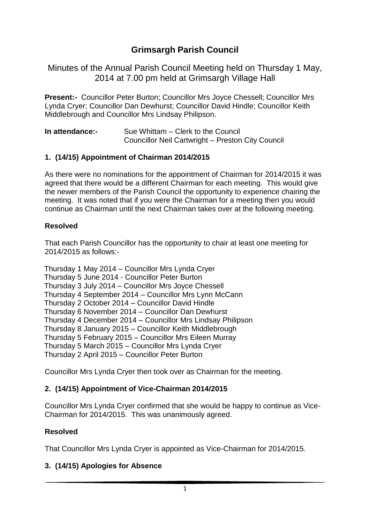# **Grimsargh Parish Council**

Minutes of the Annual Parish Council Meeting held on Thursday 1 May, 2014 at 7.00 pm held at Grimsargh Village Hall

**Present:-** Councillor Peter Burton; Councillor Mrs Joyce Chessell; Councillor Mrs Lynda Cryer; Councillor Dan Dewhurst; Councillor David Hindle; Councillor Keith Middlebrough and Councillor Mrs Lindsay Philipson.

| In attendance:- | Sue Whittam – Clerk to the Council                |
|-----------------|---------------------------------------------------|
|                 | Councillor Neil Cartwright - Preston City Council |

## **1. (14/15) Appointment of Chairman 2014/2015**

As there were no nominations for the appointment of Chairman for 2014/2015 it was agreed that there would be a different Chairman for each meeting. This would give the newer members of the Parish Council the opportunity to experience chairing the meeting. It was noted that if you were the Chairman for a meeting then you would continue as Chairman until the next Chairman takes over at the following meeting.

### **Resolved**

That each Parish Councillor has the opportunity to chair at least one meeting for 2014/2015 as follows:-

Thursday 1 May 2014 – Councillor Mrs Lynda Cryer Thursday 5 June 2014 - Councillor Peter Burton Thursday 3 July 2014 – Councillor Mrs Joyce Chessell Thursday 4 September 2014 – Councillor Mrs Lynn McCann Thursday 2 October 2014 – Councillor David Hindle Thursday 6 November 2014 – Councillor Dan Dewhurst Thursday 4 December 2014 – Councillor Mrs Lindsay Philipson Thursday 8 January 2015 – Councillor Keith Middlebrough Thursday 5 February 2015 – Councillor Mrs Eileen Murray Thursday 5 March 2015 – Councillor Mrs Lynda Cryer Thursday 2 April 2015 – Councillor Peter Burton

Councillor Mrs Lynda Cryer then took over as Chairman for the meeting.

## **2. (14/15) Appointment of Vice-Chairman 2014/2015**

Councillor Mrs Lynda Cryer confirmed that she would be happy to continue as Vice-Chairman for 2014/2015. This was unanimously agreed.

### **Resolved**

That Councillor Mrs Lynda Cryer is appointed as Vice-Chairman for 2014/2015.

## **3. (14/15) Apologies for Absence**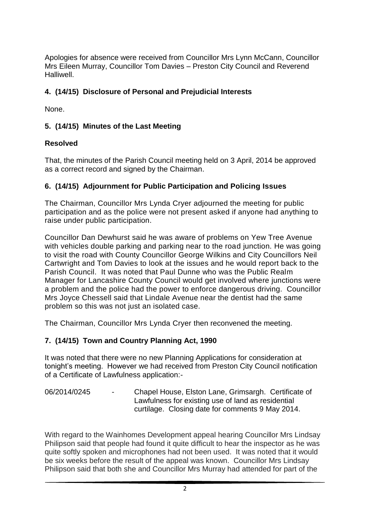Apologies for absence were received from Councillor Mrs Lynn McCann, Councillor Mrs Eileen Murray, Councillor Tom Davies – Preston City Council and Reverend Halliwell.

# **4. (14/15) Disclosure of Personal and Prejudicial Interests**

None.

# **5. (14/15) Minutes of the Last Meeting**

## **Resolved**

That, the minutes of the Parish Council meeting held on 3 April, 2014 be approved as a correct record and signed by the Chairman.

# **6. (14/15) Adjournment for Public Participation and Policing Issues**

The Chairman, Councillor Mrs Lynda Cryer adjourned the meeting for public participation and as the police were not present asked if anyone had anything to raise under public participation.

Councillor Dan Dewhurst said he was aware of problems on Yew Tree Avenue with vehicles double parking and parking near to the road junction. He was going to visit the road with County Councillor George Wilkins and City Councillors Neil Cartwright and Tom Davies to look at the issues and he would report back to the Parish Council. It was noted that Paul Dunne who was the Public Realm Manager for Lancashire County Council would get involved where junctions were a problem and the police had the power to enforce dangerous driving. Councillor Mrs Joyce Chessell said that Lindale Avenue near the dentist had the same problem so this was not just an isolated case.

The Chairman, Councillor Mrs Lynda Cryer then reconvened the meeting.

# **7. (14/15) Town and Country Planning Act, 1990**

It was noted that there were no new Planning Applications for consideration at tonight's meeting. However we had received from Preston City Council notification of a Certificate of Lawfulness application:-

06/2014/0245 - Chapel House, Elston Lane, Grimsargh. Certificate of Lawfulness for existing use of land as residential curtilage. Closing date for comments 9 May 2014.

With regard to the Wainhomes Development appeal hearing Councillor Mrs Lindsay Philipson said that people had found it quite difficult to hear the inspector as he was quite softly spoken and microphones had not been used. It was noted that it would be six weeks before the result of the appeal was known. Councillor Mrs Lindsay Philipson said that both she and Councillor Mrs Murray had attended for part of the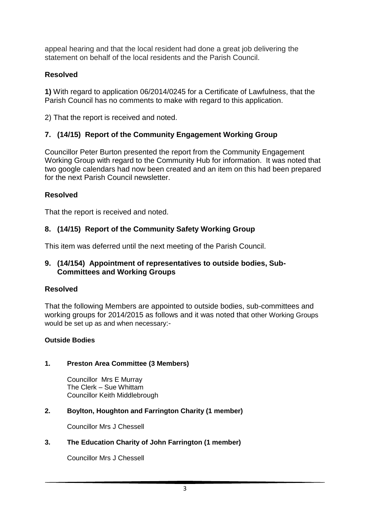appeal hearing and that the local resident had done a great job delivering the statement on behalf of the local residents and the Parish Council.

## **Resolved**

**1)** With regard to application 06/2014/0245 for a Certificate of Lawfulness, that the Parish Council has no comments to make with regard to this application.

2) That the report is received and noted.

# **7. (14/15) Report of the Community Engagement Working Group**

Councillor Peter Burton presented the report from the Community Engagement Working Group with regard to the Community Hub for information. It was noted that two google calendars had now been created and an item on this had been prepared for the next Parish Council newsletter.

## **Resolved**

That the report is received and noted.

## **8. (14/15) Report of the Community Safety Working Group**

This item was deferred until the next meeting of the Parish Council.

### **9. (14/154) Appointment of representatives to outside bodies, Sub- Committees and Working Groups**

### **Resolved**

That the following Members are appointed to outside bodies, sub-committees and working groups for 2014/2015 as follows and it was noted that other Working Groups would be set up as and when necessary:-

### **Outside Bodies**

### **1. Preston Area Committee (3 Members)**

Councillor Mrs E Murray The Clerk – Sue Whittam Councillor Keith Middlebrough

## **2. Boylton, Houghton and Farrington Charity (1 member)**

Councillor Mrs J Chessell

### **3. The Education Charity of John Farrington (1 member)**

Councillor Mrs J Chessell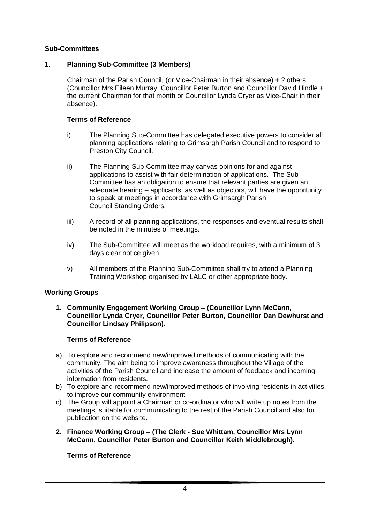#### **Sub-Committees**

### **1. Planning Sub-Committee (3 Members)**

Chairman of the Parish Council, (or Vice-Chairman in their absence) + 2 others (Councillor Mrs Eileen Murray, Councillor Peter Burton and Councillor David Hindle + the current Chairman for that month or Councillor Lynda Cryer as Vice-Chair in their absence).

#### **Terms of Reference**

- i) The Planning Sub-Committee has delegated executive powers to consider all planning applications relating to Grimsargh Parish Council and to respond to Preston City Council.
- ii) The Planning Sub-Committee may canvas opinions for and against applications to assist with fair determination of applications. The Sub-Committee has an obligation to ensure that relevant parties are given an adequate hearing – applicants, as well as objectors, will have the opportunity to speak at meetings in accordance with Grimsargh Parish Council Standing Orders.
- iii) A record of all planning applications, the responses and eventual results shall be noted in the minutes of meetings.
- iv) The Sub-Committee will meet as the workload requires, with a minimum of 3 days clear notice given.
- v) All members of the Planning Sub-Committee shall try to attend a Planning Training Workshop organised by LALC or other appropriate body.

#### **Working Groups**

**1. Community Engagement Working Group – (Councillor Lynn McCann, Councillor Lynda Cryer, Councillor Peter Burton, Councillor Dan Dewhurst and Councillor Lindsay Philipson).** 

#### **Terms of Reference**

- a) To explore and recommend new/improved methods of communicating with the community. The aim being to improve awareness throughout the Village of the activities of the Parish Council and increase the amount of feedback and incoming information from residents.
- b) To explore and recommend new/improved methods of involving residents in activities to improve our community environment
- c) The Group will appoint a Chairman or co-ordinator who will write up notes from the meetings, suitable for communicating to the rest of the Parish Council and also for publication on the website.
- **2. Finance Working Group – (The Clerk - Sue Whittam, Councillor Mrs Lynn McCann, Councillor Peter Burton and Councillor Keith Middlebrough).**

#### **Terms of Reference**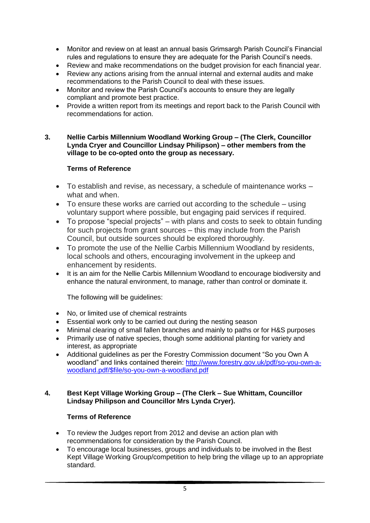- Monitor and review on at least an annual basis Grimsargh Parish Council's Financial rules and regulations to ensure they are adequate for the Parish Council's needs.
- Review and make recommendations on the budget provision for each financial year.
- Review any actions arising from the annual internal and external audits and make recommendations to the Parish Council to deal with these issues.
- Monitor and review the Parish Council's accounts to ensure they are legally compliant and promote best practice.
- Provide a written report from its meetings and report back to the Parish Council with recommendations for action.

#### **3. Nellie Carbis Millennium Woodland Working Group – (The Clerk, Councillor Lynda Cryer and Councillor Lindsay Philipson) – other members from the village to be co-opted onto the group as necessary.**

#### **Terms of Reference**

- To establish and revise, as necessary, a schedule of maintenance works what and when.
- To ensure these works are carried out according to the schedule using voluntary support where possible, but engaging paid services if required.
- To propose "special projects" with plans and costs to seek to obtain funding for such projects from grant sources – this may include from the Parish Council, but outside sources should be explored thoroughly.
- To promote the use of the Nellie Carbis Millennium Woodland by residents, local schools and others, encouraging involvement in the upkeep and enhancement by residents.
- It is an aim for the Nellie Carbis Millennium Woodland to encourage biodiversity and enhance the natural environment, to manage, rather than control or dominate it.

The following will be guidelines:

- No, or limited use of chemical restraints
- Essential work only to be carried out during the nesting season
- Minimal clearing of small fallen branches and mainly to paths or for H&S purposes
- Primarily use of native species, though some additional planting for variety and interest, as appropriate
- Additional guidelines as per the Forestry Commission document "So you Own A woodland" and links contained therein: [http://www.forestry.gov.uk/pdf/so-you-own-a](http://www.forestry.gov.uk/pdf/so-you-own-a-woodland.pdf/$file/so-you-own-a-woodland.pdf)[woodland.pdf/\\$file/so-you-own-a-woodland.pdf](http://www.forestry.gov.uk/pdf/so-you-own-a-woodland.pdf/$file/so-you-own-a-woodland.pdf)

#### **4. Best Kept Village Working Group – (The Clerk – Sue Whittam, Councillor Lindsay Philipson and Councillor Mrs Lynda Cryer).**

#### **Terms of Reference**

- To review the Judges report from 2012 and devise an action plan with recommendations for consideration by the Parish Council.
- To encourage local businesses, groups and individuals to be involved in the Best Kept Village Working Group/competition to help bring the village up to an appropriate standard.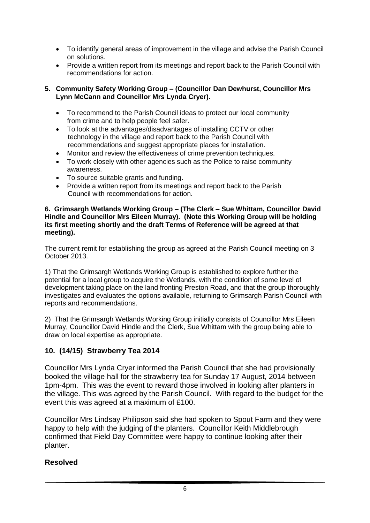- To identify general areas of improvement in the village and advise the Parish Council on solutions.
- Provide a written report from its meetings and report back to the Parish Council with recommendations for action.

#### **5. Community Safety Working Group – (Councillor Dan Dewhurst, Councillor Mrs Lynn McCann and Councillor Mrs Lynda Cryer).**

- To recommend to the Parish Council ideas to protect our local community from crime and to help people feel safer.
- To look at the advantages/disadvantages of installing CCTV or other technology in the village and report back to the Parish Council with recommendations and suggest appropriate places for installation.
- Monitor and review the effectiveness of crime prevention techniques.
- To work closely with other agencies such as the Police to raise community awareness.
- To source suitable grants and funding.
- Provide a written report from its meetings and report back to the Parish Council with recommendations for action.

#### **6. Grimsargh Wetlands Working Group – (The Clerk – Sue Whittam, Councillor David Hindle and Councillor Mrs Eileen Murray). (Note this Working Group will be holding its first meeting shortly and the draft Terms of Reference will be agreed at that meeting).**

The current remit for establishing the group as agreed at the Parish Council meeting on 3 October 2013.

1) That the Grimsargh Wetlands Working Group is established to explore further the potential for a local group to acquire the Wetlands, with the condition of some level of development taking place on the land fronting Preston Road, and that the group thoroughly investigates and evaluates the options available, returning to Grimsargh Parish Council with reports and recommendations.

2) That the Grimsargh Wetlands Working Group initially consists of Councillor Mrs Eileen Murray, Councillor David Hindle and the Clerk, Sue Whittam with the group being able to draw on local expertise as appropriate.

### **10. (14/15) Strawberry Tea 2014**

Councillor Mrs Lynda Cryer informed the Parish Council that she had provisionally booked the village hall for the strawberry tea for Sunday 17 August, 2014 between 1pm-4pm. This was the event to reward those involved in looking after planters in the village. This was agreed by the Parish Council. With regard to the budget for the event this was agreed at a maximum of £100.

Councillor Mrs Lindsay Philipson said she had spoken to Spout Farm and they were happy to help with the judging of the planters. Councillor Keith Middlebrough confirmed that Field Day Committee were happy to continue looking after their planter.

### **Resolved**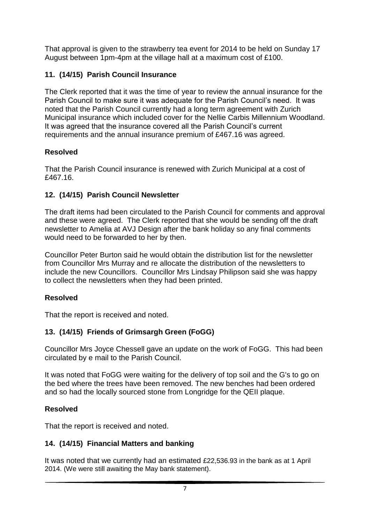That approval is given to the strawberry tea event for 2014 to be held on Sunday 17 August between 1pm-4pm at the village hall at a maximum cost of £100.

# **11. (14/15) Parish Council Insurance**

The Clerk reported that it was the time of year to review the annual insurance for the Parish Council to make sure it was adequate for the Parish Council's need. It was noted that the Parish Council currently had a long term agreement with Zurich Municipal insurance which included cover for the Nellie Carbis Millennium Woodland. It was agreed that the insurance covered all the Parish Council's current requirements and the annual insurance premium of £467.16 was agreed.

# **Resolved**

That the Parish Council insurance is renewed with Zurich Municipal at a cost of £467.16.

# **12. (14/15) Parish Council Newsletter**

The draft items had been circulated to the Parish Council for comments and approval and these were agreed. The Clerk reported that she would be sending off the draft newsletter to Amelia at AVJ Design after the bank holiday so any final comments would need to be forwarded to her by then.

Councillor Peter Burton said he would obtain the distribution list for the newsletter from Councillor Mrs Murray and re allocate the distribution of the newsletters to include the new Councillors. Councillor Mrs Lindsay Philipson said she was happy to collect the newsletters when they had been printed.

## **Resolved**

That the report is received and noted.

# **13. (14/15) Friends of Grimsargh Green (FoGG)**

Councillor Mrs Joyce Chessell gave an update on the work of FoGG. This had been circulated by e mail to the Parish Council.

It was noted that FoGG were waiting for the delivery of top soil and the G's to go on the bed where the trees have been removed. The new benches had been ordered and so had the locally sourced stone from Longridge for the QEII plaque.

## **Resolved**

That the report is received and noted.

# **14. (14/15) Financial Matters and banking**

It was noted that we currently had an estimated £22,536.93 in the bank as at 1 April 2014. (We were still awaiting the May bank statement).